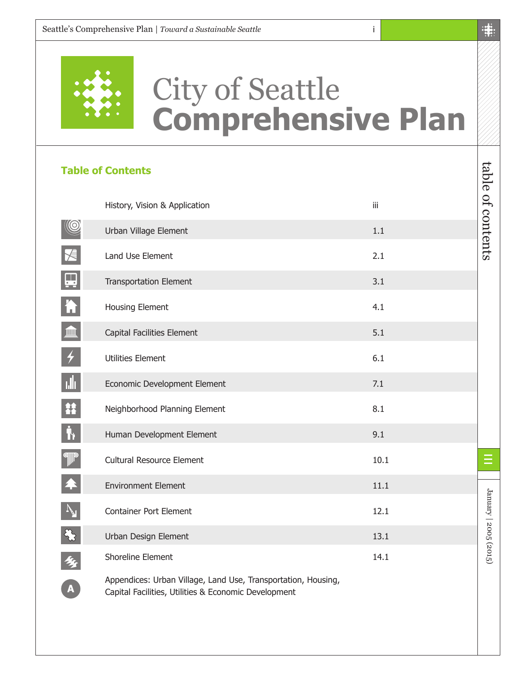

## City of Seattle **Comprehensive Plan**

## **Table of Contents**

|                         | History, Vision & Application                                                                                         | iii  |
|-------------------------|-----------------------------------------------------------------------------------------------------------------------|------|
| $\circledR$             | Urban Village Element                                                                                                 | 1.1  |
| $\leq$                  | Land Use Element                                                                                                      | 2.1  |
| $\mathbf{\mathbf{\Xi}}$ | <b>Transportation Element</b>                                                                                         | 3.1  |
| $\overline{\mathbf{h}}$ | Housing Element                                                                                                       | 4.1  |
| $\blacksquare$          | Capital Facilities Element                                                                                            | 5.1  |
| $\bigstar$              | <b>Utilities Element</b>                                                                                              | 6.1  |
| <u>ılı</u>              | Economic Development Element                                                                                          | 7.1  |
| 舘                       | Neighborhood Planning Element                                                                                         | 8.1  |
| $\mathring{\textbf{h}}$ | Human Development Element                                                                                             | 9.1  |
| $\mathbb{P}$            | <b>Cultural Resource Element</b>                                                                                      | 10.1 |
| $\blacktriangle$        | <b>Environment Element</b>                                                                                            | 11.1 |
|                         | <b>Container Port Element</b>                                                                                         | 12.1 |
| $\mathbb{Z}$            | Urban Design Element                                                                                                  | 13.1 |
| 乡                       | Shoreline Element                                                                                                     | 14.1 |
| A                       | Appendices: Urban Village, Land Use, Transportation, Housing,<br>Capital Facilities, Utilities & Economic Development |      |

table of contents

table of contents

January | 2005 (2015)

January | 2005 (2015)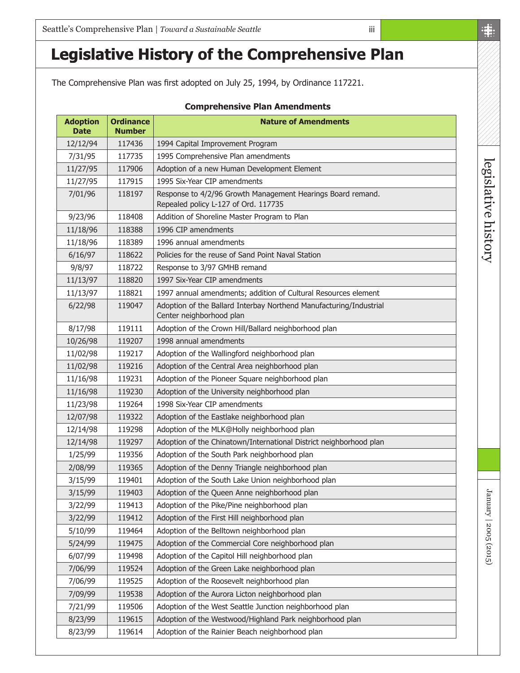The Comprehensive Plan was first adopted on July 25, 1994, by Ordinance 117221.

| <b>Comprehensive Plan Amendments</b> |                                   |                                                                                                     |  |  |  |
|--------------------------------------|-----------------------------------|-----------------------------------------------------------------------------------------------------|--|--|--|
| <b>Adoption</b><br><b>Date</b>       | <b>Ordinance</b><br><b>Number</b> | <b>Nature of Amendments</b>                                                                         |  |  |  |
| 12/12/94                             | 117436                            | 1994 Capital Improvement Program                                                                    |  |  |  |
| 7/31/95                              | 117735                            | 1995 Comprehensive Plan amendments                                                                  |  |  |  |
| 11/27/95                             | 117906                            | Adoption of a new Human Development Element                                                         |  |  |  |
| 11/27/95                             | 117915                            | 1995 Six-Year CIP amendments                                                                        |  |  |  |
| 7/01/96                              | 118197                            | Response to 4/2/96 Growth Management Hearings Board remand.<br>Repealed policy L-127 of Ord. 117735 |  |  |  |
| 9/23/96                              | 118408                            | Addition of Shoreline Master Program to Plan                                                        |  |  |  |
| 11/18/96                             | 118388                            | 1996 CIP amendments                                                                                 |  |  |  |
| 11/18/96                             | 118389                            | 1996 annual amendments                                                                              |  |  |  |
| 6/16/97                              | 118622                            | Policies for the reuse of Sand Point Naval Station                                                  |  |  |  |
| 9/8/97                               | 118722                            | Response to 3/97 GMHB remand                                                                        |  |  |  |
| 11/13/97                             | 118820                            | 1997 Six-Year CIP amendments                                                                        |  |  |  |
| 11/13/97                             | 118821                            | 1997 annual amendments; addition of Cultural Resources element                                      |  |  |  |
| 6/22/98                              | 119047                            | Adoption of the Ballard Interbay Northend Manufacturing/Industrial<br>Center neighborhood plan      |  |  |  |
| 8/17/98                              | 119111                            | Adoption of the Crown Hill/Ballard neighborhood plan                                                |  |  |  |
| 10/26/98                             | 119207                            | 1998 annual amendments                                                                              |  |  |  |
| 11/02/98                             | 119217                            | Adoption of the Wallingford neighborhood plan                                                       |  |  |  |
| 11/02/98                             | 119216                            | Adoption of the Central Area neighborhood plan                                                      |  |  |  |
| 11/16/98                             | 119231                            | Adoption of the Pioneer Square neighborhood plan                                                    |  |  |  |
| 11/16/98                             | 119230                            | Adoption of the University neighborhood plan                                                        |  |  |  |
| 11/23/98                             | 119264                            | 1998 Six-Year CIP amendments                                                                        |  |  |  |
| 12/07/98                             | 119322                            | Adoption of the Eastlake neighborhood plan                                                          |  |  |  |
| 12/14/98                             | 119298                            | Adoption of the MLK@Holly neighborhood plan                                                         |  |  |  |
| 12/14/98                             | 119297                            | Adoption of the Chinatown/International District neighborhood plan                                  |  |  |  |
| 1/25/99                              | 119356                            | Adoption of the South Park neighborhood plan                                                        |  |  |  |
| 2/08/99                              | 119365                            | Adoption of the Denny Triangle neighborhood plan                                                    |  |  |  |
| 3/15/99                              | 119401                            | Adoption of the South Lake Union neighborhood plan                                                  |  |  |  |
| 3/15/99                              | 119403                            | Adoption of the Queen Anne neighborhood plan                                                        |  |  |  |
| 3/22/99                              | 119413                            | Adoption of the Pike/Pine neighborhood plan                                                         |  |  |  |
| 3/22/99                              | 119412                            | Adoption of the First Hill neighborhood plan                                                        |  |  |  |
| 5/10/99                              | 119464                            | Adoption of the Belltown neighborhood plan                                                          |  |  |  |
| 5/24/99                              | 119475                            | Adoption of the Commercial Core neighborhood plan                                                   |  |  |  |
| 6/07/99                              | 119498                            | Adoption of the Capitol Hill neighborhood plan                                                      |  |  |  |
| 7/06/99                              | 119524                            | Adoption of the Green Lake neighborhood plan                                                        |  |  |  |
| 7/06/99                              | 119525                            | Adoption of the Roosevelt neighborhood plan                                                         |  |  |  |
| 7/09/99                              | 119538                            | Adoption of the Aurora Licton neighborhood plan                                                     |  |  |  |
| 7/21/99                              | 119506                            | Adoption of the West Seattle Junction neighborhood plan                                             |  |  |  |
| 8/23/99                              | 119615                            | Adoption of the Westwood/Highland Park neighborhood plan                                            |  |  |  |
| 8/23/99                              | 119614                            | Adoption of the Rainier Beach neighborhood plan                                                     |  |  |  |

iii